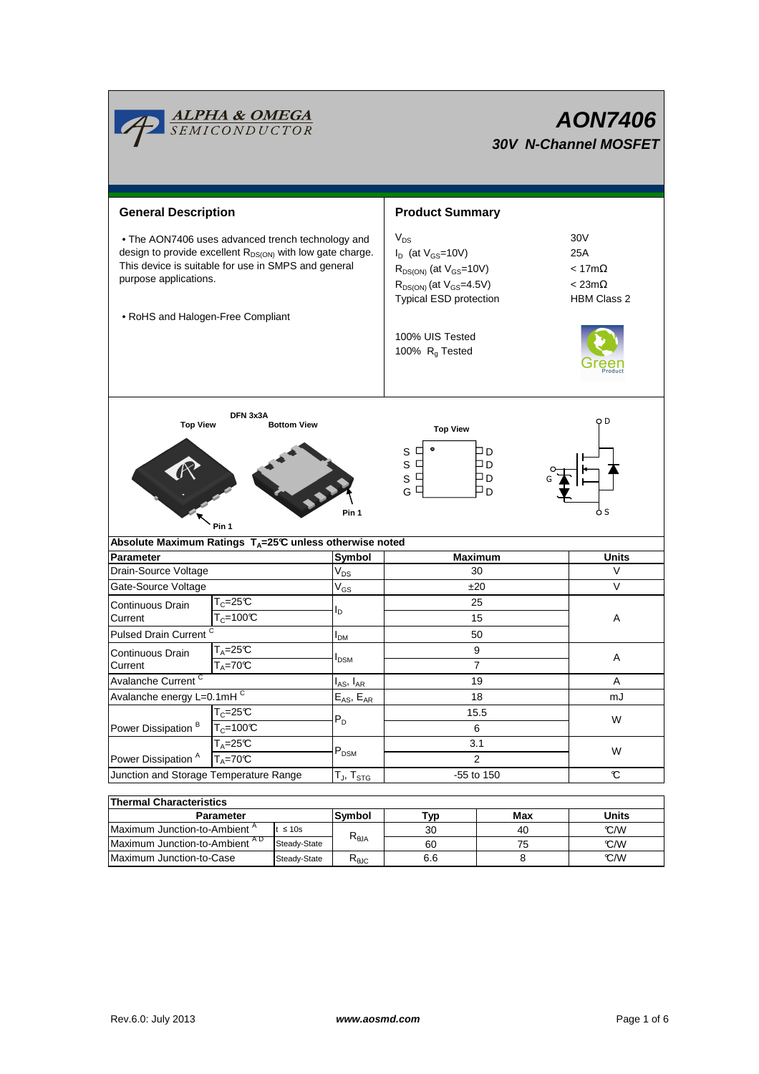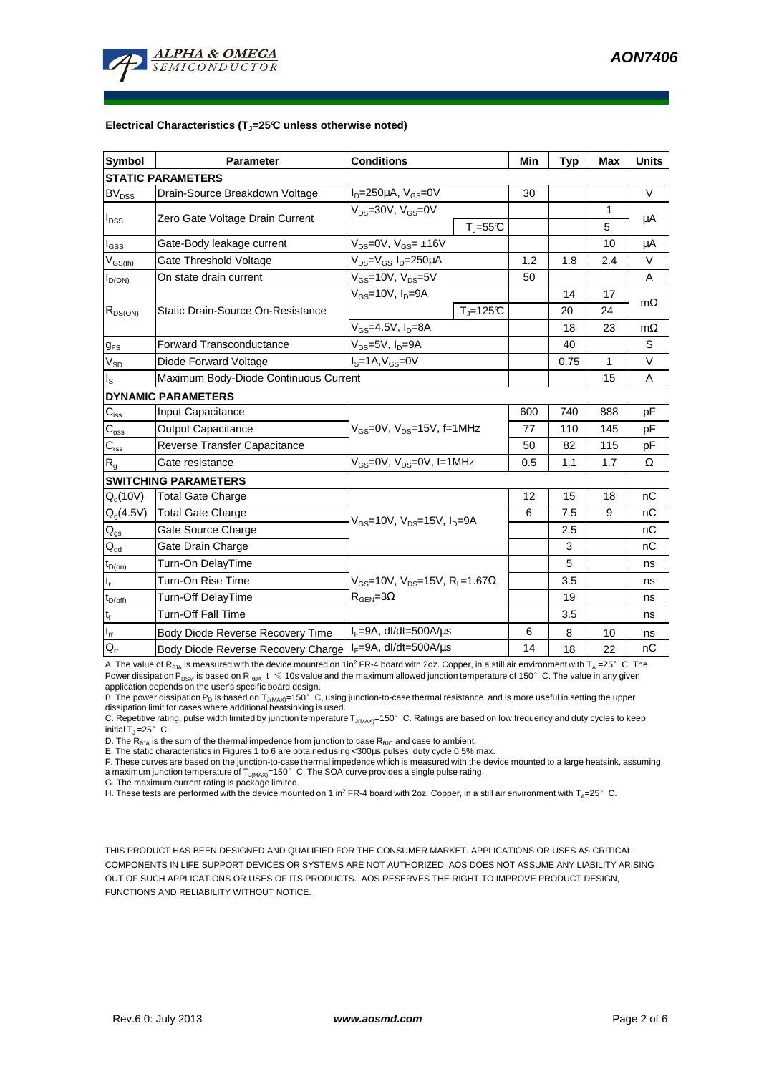

#### **Electrical Characteristics (TJ=25°C unless otherwise noted)**

| Symbol                                 | <b>Parameter</b>                      | <b>Conditions</b>                                                                         |                   | Min | <b>Typ</b> | <b>Max</b> | <b>Units</b> |
|----------------------------------------|---------------------------------------|-------------------------------------------------------------------------------------------|-------------------|-----|------------|------------|--------------|
| <b>STATIC PARAMETERS</b>               |                                       |                                                                                           |                   |     |            |            |              |
| $BV_{DSS}$                             | Drain-Source Breakdown Voltage        | $I_D = 250 \mu A$ , $V_{GS} = 0V$                                                         |                   | 30  |            |            | V            |
| $I_{DSS}$                              | Zero Gate Voltage Drain Current       | $V_{DS}$ =30V, $V_{GS}$ =0V                                                               |                   |     |            | 1          |              |
|                                        |                                       |                                                                                           | $T_{\rm J}$ =55°C |     |            | 5          | μA           |
| l <sub>GSS</sub>                       | Gate-Body leakage current             | $V_{DS} = 0V$ , $V_{GS} = \pm 16V$                                                        |                   |     |            | 10         | μA           |
| $V_{GS(th)}$                           | Gate Threshold Voltage                | V <sub>DS</sub> =V <sub>GS</sub> I <sub>D</sub> =250µA                                    |                   | 1.2 | 1.8        | 2.4        | $\vee$       |
| $I_{D(ON)}$                            | On state drain current                | $V_{GS}$ =10V, $V_{DS}$ =5V                                                               |                   | 50  |            |            | A            |
| $R_{DS(ON)}$                           | Static Drain-Source On-Resistance     | $V_{GS}$ =10V, $I_D$ =9A                                                                  |                   |     | 14         | 17         |              |
|                                        |                                       |                                                                                           | $Tj=125C$         |     | 20         | 24         | $m\Omega$    |
|                                        |                                       | $V_{GS}$ =4.5V, $I_D$ =8A                                                                 |                   |     | 18         | 23         | $m\Omega$    |
| $g_{FS}$                               | <b>Forward Transconductance</b>       | $V_{DS} = 5V$ , $I_D = 9A$                                                                |                   |     | 40         |            | S            |
| $V_{SD}$                               | Diode Forward Voltage                 | $IS=1A, VGS=0V$                                                                           |                   |     | 0.75       | 1          | V            |
| $I_{\tt S}$                            | Maximum Body-Diode Continuous Current |                                                                                           |                   |     |            | 15         | A            |
|                                        | <b>DYNAMIC PARAMETERS</b>             |                                                                                           |                   |     |            |            |              |
| $C_{iss}$                              | Input Capacitance                     | $V_{GS}$ =0V, $V_{DS}$ =15V, f=1MHz                                                       |                   | 600 | 740        | 888        | pF           |
| $C_{\rm oss}$                          | <b>Output Capacitance</b>             |                                                                                           |                   | 77  | 110        | 145        | pF           |
| $C_{\rm rss}$                          | Reverse Transfer Capacitance          |                                                                                           |                   | 50  | 82         | 115        | pF           |
| $R_{q}$                                | Gate resistance                       | $V_{GS}$ =0V, $V_{DS}$ =0V, f=1MHz                                                        |                   | 0.5 | 1.1        | 1.7        | Ω            |
|                                        | <b>SWITCHING PARAMETERS</b>           |                                                                                           |                   |     |            |            |              |
| $Q_g(10V)$                             | <b>Total Gate Charge</b>              | $V_{\text{GS}}$ =10V, $V_{\text{DS}}$ =15V, $I_{\text{D}}$ =9A                            |                   | 12  | 15         | 18         | nC           |
| $Q_q(4.5V)$                            | <b>Total Gate Charge</b>              |                                                                                           |                   | 6   | 7.5        | 9          | nC           |
| $\mathsf{Q}_{\mathsf{gs}}$             | Gate Source Charge                    |                                                                                           |                   |     | 2.5        |            | nС           |
| $\mathsf{Q}_{\underline{\mathsf{gd}}}$ | Gate Drain Charge                     |                                                                                           |                   |     | 3          |            | nC           |
| $t_{D(on)}$                            | Turn-On DelayTime                     | $V_{GS}$ =10V, V <sub>DS</sub> =15V, R <sub>L</sub> =1.67Ω,<br>$R_{\text{GEN}} = 3\Omega$ |                   |     | 5          |            | ns           |
| $t_r$                                  | Turn-On Rise Time                     |                                                                                           |                   |     | 3.5        |            | ns           |
| $t_{D(off)}$                           | <b>Turn-Off DelayTime</b>             |                                                                                           |                   |     | 19         |            | ns           |
| $t_f$                                  | <b>Turn-Off Fall Time</b>             |                                                                                           |                   |     | 3.5        |            | ns           |
| $t_{rr}$                               | Body Diode Reverse Recovery Time      | $I_F = 9A$ , dl/dt=500A/ $\mu$ s                                                          |                   | 6   | 8          | 10         | ns           |
| $Q_{rr}$                               | Body Diode Reverse Recovery Charge    | $I_F = 9A$ , dl/dt=500A/ $\mu$ s                                                          |                   | 14  | 18         | 22         | nC           |

A. The value of R<sub>θJA</sub> is measured with the device mounted on 1in<sup>2</sup> FR-4 board with 2oz. Copper, in a still air environment with T<sub>A</sub> =25°C. The Power dissipation P<sub>DSM</sub> is based on R<sub>6JA</sub> t  $\leq$  10s value and the maximum allowed junction temperature of 150°C. The value in any given application depends on the user's specific board design.

B. The power dissipation P<sub>D</sub> is based on T<sub>J(MAX)</sub>=150°C, using junction-to-case thermal resistance, and is more useful in setting the upper dissipation limit for cases where additional heatsinking is used.

C. Repetitive rating, pulse width limited by junction temperature  $T_{J(MAX)}$ =150°C. Ratings are based on low frequency and duty cycles to keep initial  $T_J = 25^\circ$  C.

D. The  $R_{\thetaJA}$  is the sum of the thermal impedence from junction to case  $R_{\thetaJC}$  and case to ambient.

E. The static characteristics in Figures 1 to 6 are obtained using <300us pulses, duty cycle 0.5% max.

F. These curves are based on the junction-to-case thermal impedence which is measured with the device mounted to a large heatsink, assuming a maximum junction temperature of  $T_{J(MAX)}$ =150° C. The SOA curve provides a single pulse rating.

G. The maximum current rating is package limited.

H. These tests are performed with the device mounted on 1 in<sup>2</sup> FR-4 board with 2oz. Copper, in a still air environment with T<sub>A</sub>=25°C.

THIS PRODUCT HAS BEEN DESIGNED AND QUALIFIED FOR THE CONSUMER MARKET. APPLICATIONS OR USES AS CRITICAL COMPONENTS IN LIFE SUPPORT DEVICES OR SYSTEMS ARE NOT AUTHORIZED. AOS DOES NOT ASSUME ANY LIABILITY ARISING OUT OF SUCH APPLICATIONS OR USES OF ITS PRODUCTS. AOS RESERVES THE RIGHT TO IMPROVE PRODUCT DESIGN, FUNCTIONS AND RELIABILITY WITHOUT NOTICE.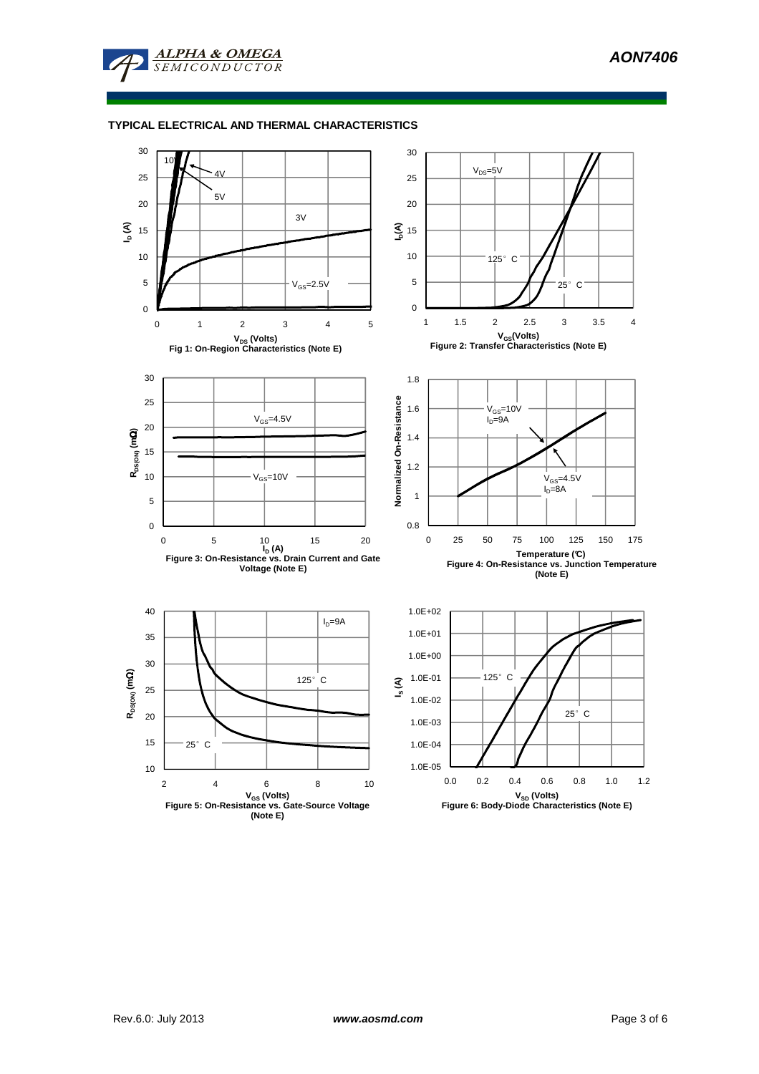

## **TYPICAL ELECTRICAL AND THERMAL CHARACTERISTICS**

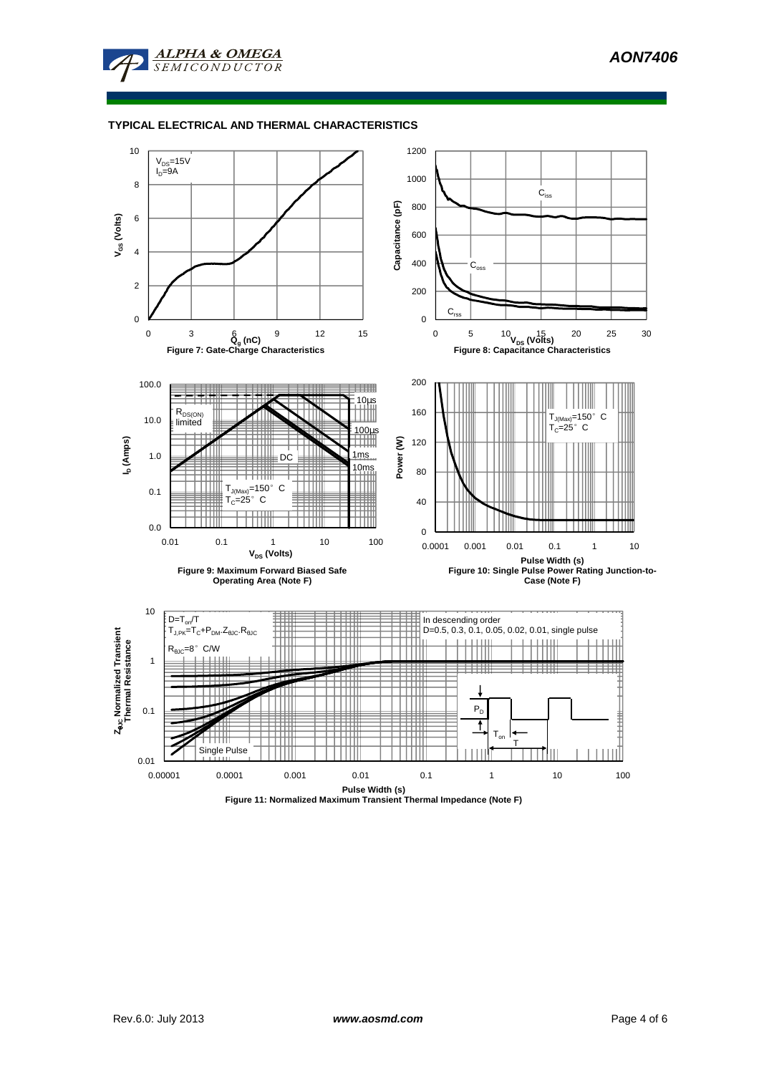

## **TYPICAL ELECTRICAL AND THERMAL CHARACTERISTICS**



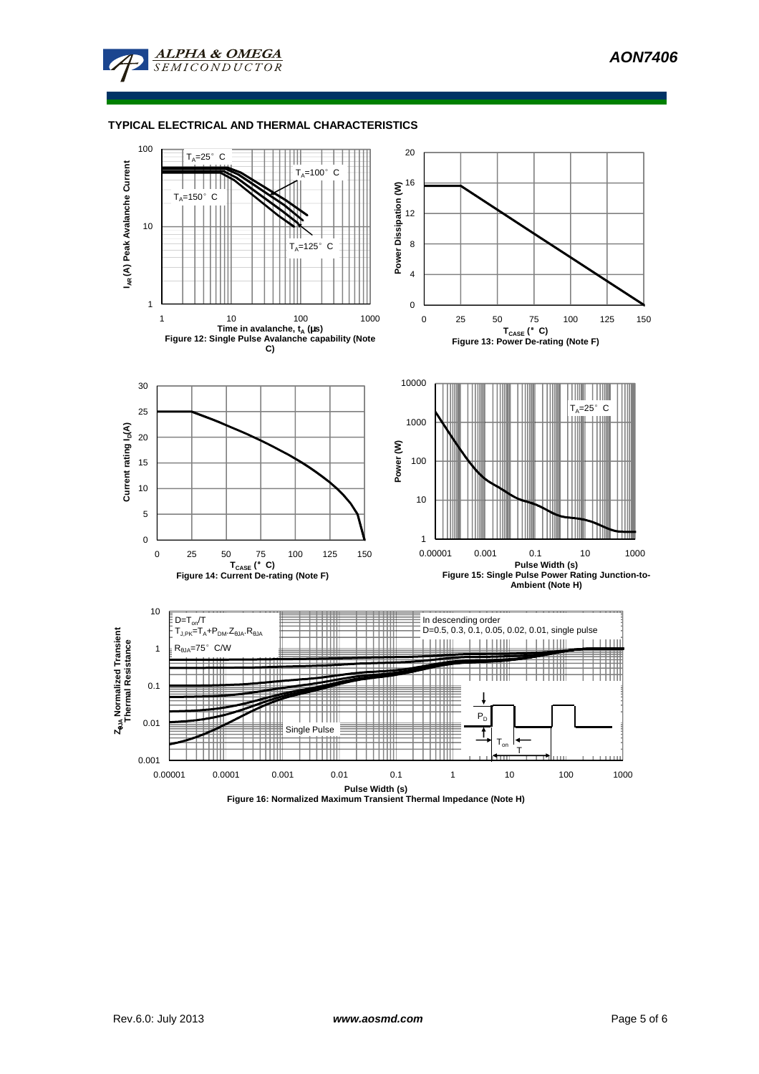

### **TYPICAL ELECTRICAL AND THERMAL CHARACTERISTICS**